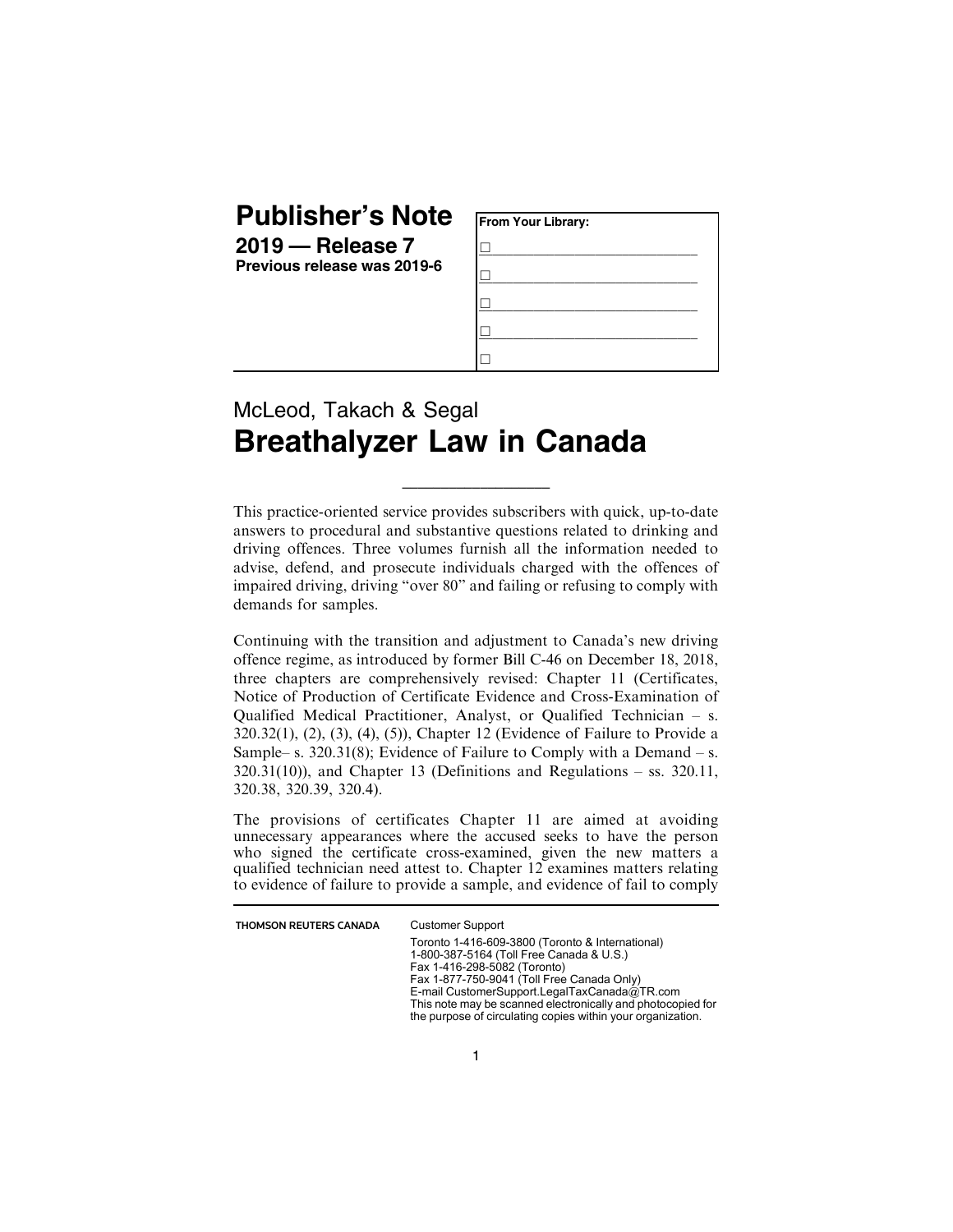## **Publisher's Note**

**2019 — Release 7 Previous release was 2019-6**

| From Your Library: |  |
|--------------------|--|
|                    |  |
|                    |  |
|                    |  |
|                    |  |
|                    |  |

## McLeod, Takach & Segal **Breathalyzer Law in Canada**

This practice-oriented service provides subscribers with quick, up-to-date answers to procedural and substantive questions related to drinking and driving offences. Three volumes furnish all the information needed to advise, defend, and prosecute individuals charged with the offences of impaired driving, driving "over 80" and failing or refusing to comply with demands for samples.

\_\_\_\_\_\_\_\_\_\_\_\_\_\_\_\_\_\_\_

Continuing with the transition and adjustment to Canada's new driving offence regime, as introduced by former Bill C-46 on December 18, 2018, three chapters are comprehensively revised: Chapter 11 (Certificates, Notice of Production of Certificate Evidence and Cross-Examination of Qualified Medical Practitioner, Analyst, or Qualified Technician – s. 320.32(1), (2), (3), (4), (5)), Chapter 12 (Evidence of Failure to Provide a Sample– s. 320.31(8); Evidence of Failure to Comply with a Demand – s.  $320.31(10)$ ), and Chapter 13 (Definitions and Regulations – ss. 320.11, 320.38, 320.39, 320.4).

The provisions of certificates Chapter 11 are aimed at avoiding unnecessary appearances where the accused seeks to have the person who signed the certificate cross-examined, given the new matters a qualified technician need attest to. Chapter 12 examines matters relating to evidence of failure to provide a sample, and evidence of fail to comply

THOMSON REUTERS CANADA Customer Support

Toronto 1-416-609-3800 (Toronto & International) 1-800-387-5164 (Toll Free Canada & U.S.) Fax 1-416-298-5082 (Toronto) Fax 1-877-750-9041 (Toll Free Canada Only) E-mail CustomerSupport.LegalTaxCanada@TR.com This note may be scanned electronically and photocopied for the purpose of circulating copies within your organization.